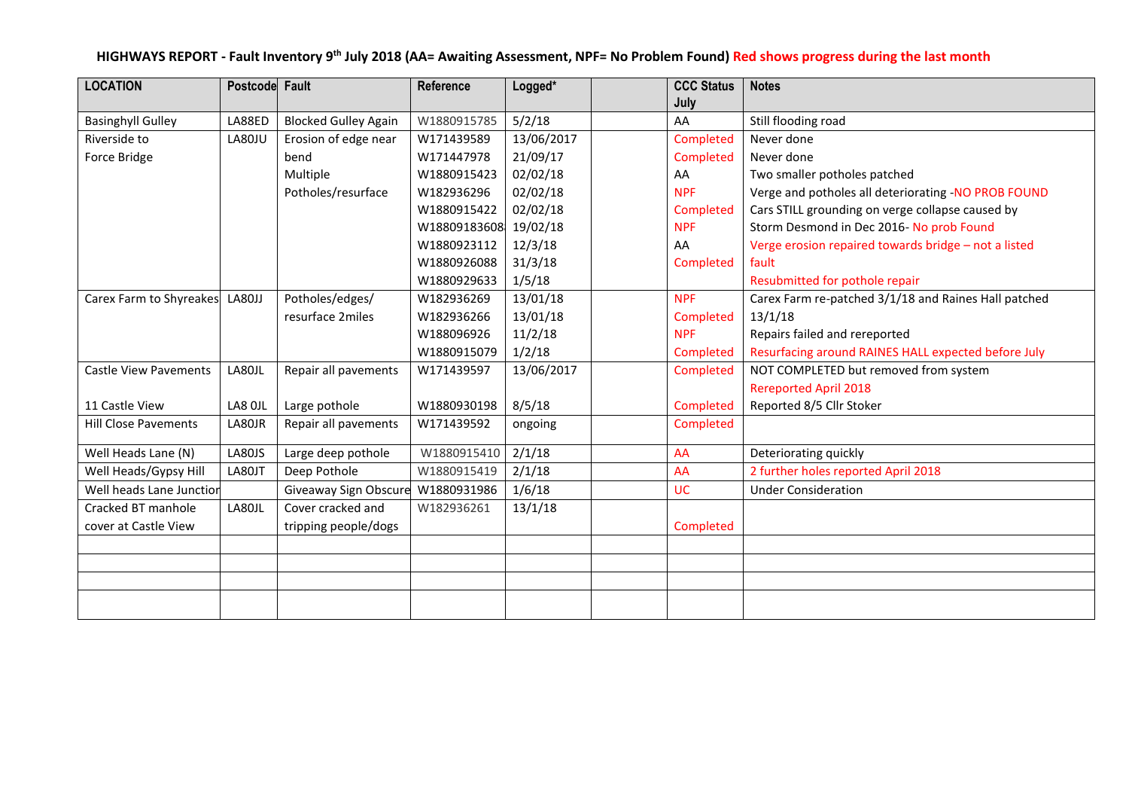#### **HIGHWAYS REPORT - Fault Inventory 9 th July 2018 (AA= Awaiting Assessment, NPF= No Problem Found) Red shows progress during the last month**

| <b>LOCATION</b>                | Postcode Fault |                             | Reference             | Logged*    | <b>CCC Status</b> | <b>Notes</b>                                         |
|--------------------------------|----------------|-----------------------------|-----------------------|------------|-------------------|------------------------------------------------------|
|                                |                |                             |                       |            | July              |                                                      |
| <b>Basinghyll Gulley</b>       | LA88ED         | <b>Blocked Gulley Again</b> | W1880915785           | 5/2/18     | AA                | Still flooding road                                  |
| Riverside to                   | LA80JU         | Erosion of edge near        | W171439589            | 13/06/2017 | Completed         | Never done                                           |
| Force Bridge                   |                | bend                        | W171447978            | 21/09/17   | Completed         | Never done                                           |
|                                |                | Multiple                    | W1880915423           | 02/02/18   | AA                | Two smaller potholes patched                         |
|                                |                | Potholes/resurface          | W182936296            | 02/02/18   | <b>NPF</b>        | Verge and potholes all deteriorating -NO PROB FOUND  |
|                                |                |                             | W1880915422           | 02/02/18   | Completed         | Cars STILL grounding on verge collapse caused by     |
|                                |                |                             | W18809183608 19/02/18 |            | <b>NPF</b>        | Storm Desmond in Dec 2016- No prob Found             |
|                                |                |                             | W1880923112           | 12/3/18    | AA                | Verge erosion repaired towards bridge - not a listed |
|                                |                |                             | W1880926088           | 31/3/18    | Completed         | fault                                                |
|                                |                |                             | W1880929633           | 1/5/18     |                   | Resubmitted for pothole repair                       |
| Carex Farm to Shyreakes LA80JJ |                | Potholes/edges/             | W182936269            | 13/01/18   | <b>NPF</b>        | Carex Farm re-patched 3/1/18 and Raines Hall patched |
|                                |                | resurface 2miles            | W182936266            | 13/01/18   | Completed         | 13/1/18                                              |
|                                |                |                             | W188096926            | 11/2/18    | <b>NPF</b>        | Repairs failed and rereported                        |
|                                |                |                             | W1880915079           | 1/2/18     | Completed         | Resurfacing around RAINES HALL expected before July  |
| <b>Castle View Pavements</b>   | LA80JL         | Repair all pavements        | W171439597            | 13/06/2017 | Completed         | NOT COMPLETED but removed from system                |
|                                |                |                             |                       |            |                   | <b>Rereported April 2018</b>                         |
| 11 Castle View                 | LA8 OJL        | Large pothole               | W1880930198           | 8/5/18     | Completed         | Reported 8/5 Cllr Stoker                             |
| <b>Hill Close Pavements</b>    | LA80JR         | Repair all pavements        | W171439592            | ongoing    | Completed         |                                                      |
| Well Heads Lane (N)            | <b>LA80JS</b>  | Large deep pothole          | W1880915410           | 2/1/18     | AA                | Deteriorating quickly                                |
| Well Heads/Gypsy Hill          | LA80JT         | Deep Pothole                | W1880915419           | 2/1/18     | AA                | 2 further holes reported April 2018                  |
| Well heads Lane Junction       |                | Giveaway Sign Obscure       | W1880931986           | 1/6/18     | <b>UC</b>         | <b>Under Consideration</b>                           |
| Cracked BT manhole             | LA80JL         | Cover cracked and           | W182936261            | 13/1/18    |                   |                                                      |
| cover at Castle View           |                | tripping people/dogs        |                       |            | Completed         |                                                      |
|                                |                |                             |                       |            |                   |                                                      |
|                                |                |                             |                       |            |                   |                                                      |
|                                |                |                             |                       |            |                   |                                                      |
|                                |                |                             |                       |            |                   |                                                      |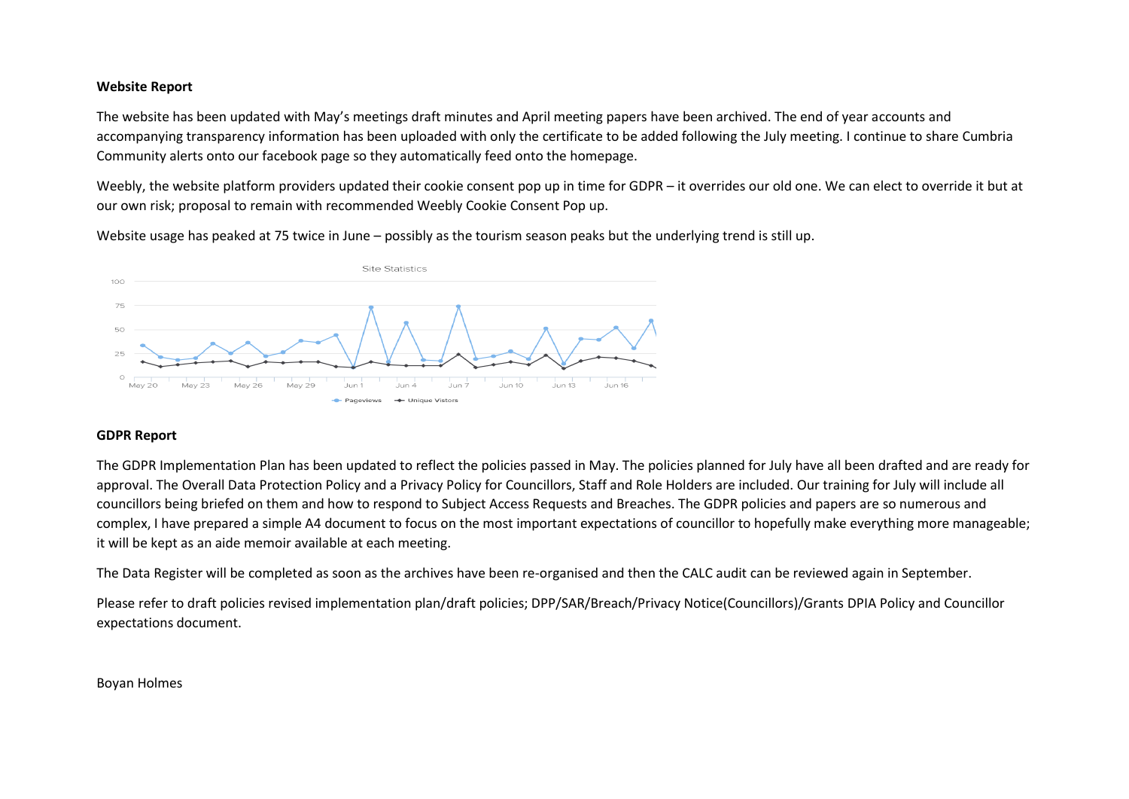#### **Website Report**

The website has been updated with May's meetings draft minutes and April meeting papers have been archived. The end of year accounts and accompanying transparency information has been uploaded with only the certificate to be added following the July meeting. I continue to share Cumbria Community alerts onto our facebook page so they automatically feed onto the homepage.

Weebly, the website platform providers updated their cookie consent pop up in time for GDPR – it overrides our old one. We can elect to override it but at our own risk; proposal to remain with recommended Weebly Cookie Consent Pop up.

Website usage has peaked at 75 twice in June – possibly as the tourism season peaks but the underlying trend is still up.



#### **GDPR Report**

The GDPR Implementation Plan has been updated to reflect the policies passed in May. The policies planned for July have all been drafted and are ready for approval. The Overall Data Protection Policy and a Privacy Policy for Councillors, Staff and Role Holders are included. Our training for July will include all councillors being briefed on them and how to respond to Subject Access Requests and Breaches. The GDPR policies and papers are so numerous and complex, I have prepared a simple A4 document to focus on the most important expectations of councillor to hopefully make everything more manageable; it will be kept as an aide memoir available at each meeting.

The Data Register will be completed as soon as the archives have been re-organised and then the CALC audit can be reviewed again in September.

Please refer to draft policies revised implementation plan/draft policies; DPP/SAR/Breach/Privacy Notice(Councillors)/Grants DPIA Policy and Councillor expectations document.

#### Boyan Holmes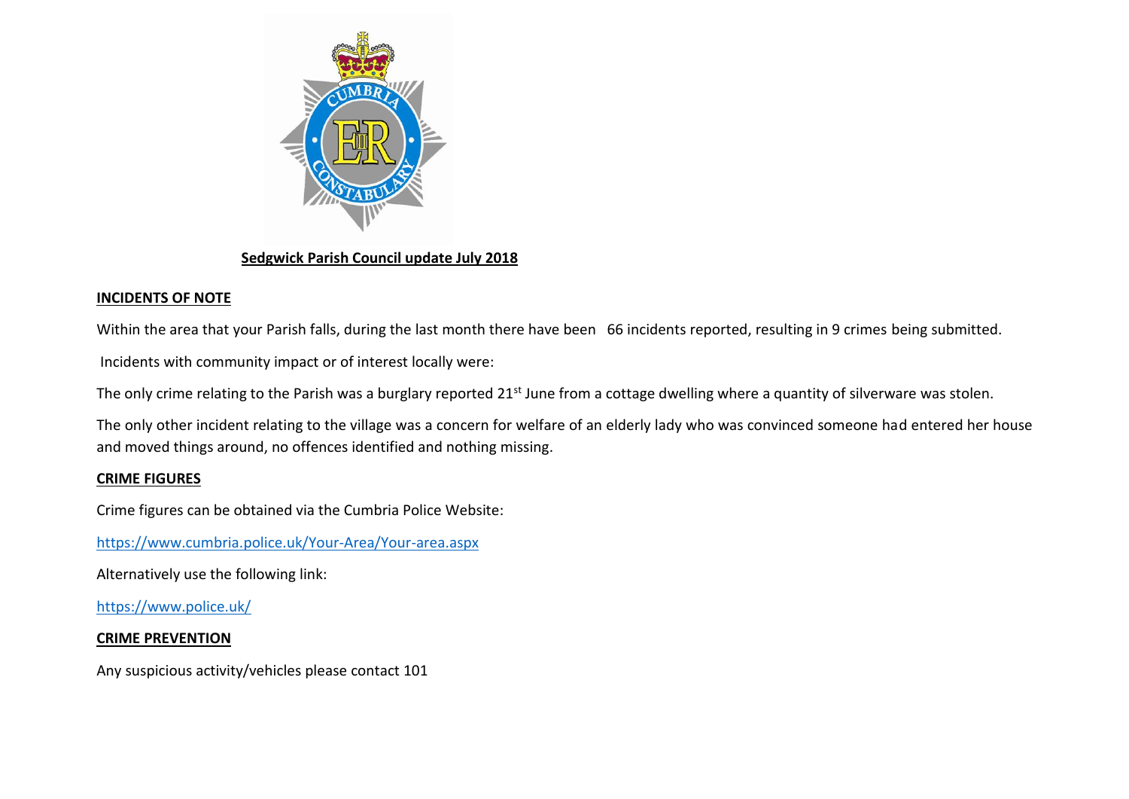

## **Sedgwick Parish Council update July 2018**

# **INCIDENTS OF NOTE**

Within the area that your Parish falls, during the last month there have been 66 incidents reported, resulting in 9 crimes being submitted.

Incidents with community impact or of interest locally were:

The only crime relating to the Parish was a burglary reported 21<sup>st</sup> June from a cottage dwelling where a quantity of silverware was stolen.

The only other incident relating to the village was a concern for welfare of an elderly lady who was convinced someone had entered her house and moved things around, no offences identified and nothing missing.

# **CRIME FIGURES**

Crime figures can be obtained via the Cumbria Police Website:

<https://www.cumbria.police.uk/Your-Area/Your-area.aspx>

Alternatively use the following link:

<https://www.police.uk/>

# **CRIME PREVENTION**

Any suspicious activity/vehicles please contact 101